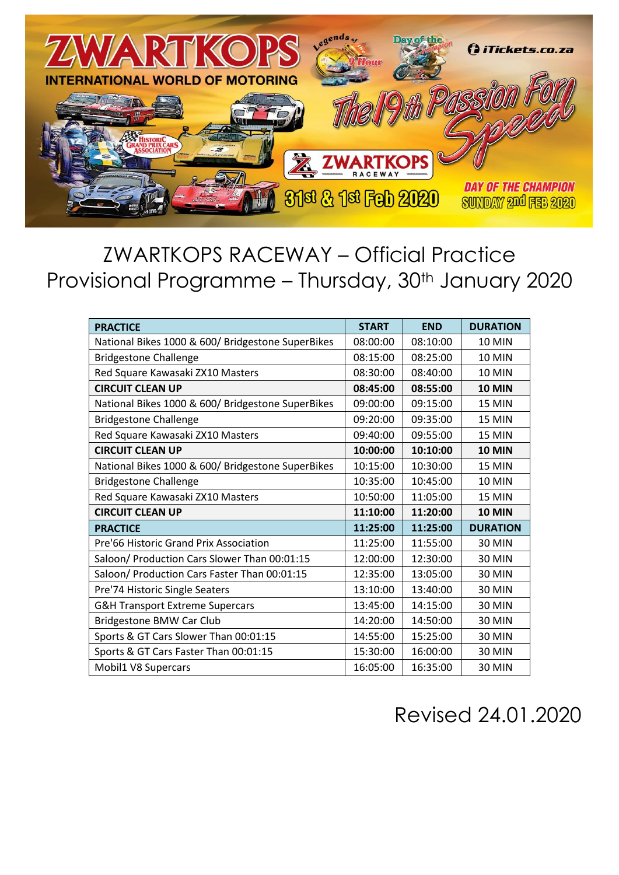

## ZWARTKOPS RACEWAY – Official Practice Provisional Programme - Thursday, 30<sup>th</sup> January 2020

| <b>PRACTICE</b>                                   | <b>START</b> | <b>END</b> | <b>DURATION</b> |
|---------------------------------------------------|--------------|------------|-----------------|
| National Bikes 1000 & 600/ Bridgestone SuperBikes | 08:00:00     | 08:10:00   | <b>10 MIN</b>   |
| <b>Bridgestone Challenge</b>                      | 08:15:00     | 08:25:00   | <b>10 MIN</b>   |
| Red Square Kawasaki ZX10 Masters                  | 08:30:00     | 08:40:00   | <b>10 MIN</b>   |
| <b>CIRCUIT CLEAN UP</b>                           | 08:45:00     | 08:55:00   | <b>10 MIN</b>   |
| National Bikes 1000 & 600/ Bridgestone SuperBikes | 09:00:00     | 09:15:00   | <b>15 MIN</b>   |
| <b>Bridgestone Challenge</b>                      | 09:20:00     | 09:35:00   | <b>15 MIN</b>   |
| Red Square Kawasaki ZX10 Masters                  | 09:40:00     | 09:55:00   | <b>15 MIN</b>   |
| <b>CIRCUIT CLEAN UP</b>                           | 10:00:00     | 10:10:00   | <b>10 MIN</b>   |
| National Bikes 1000 & 600/ Bridgestone SuperBikes | 10:15:00     | 10:30:00   | <b>15 MIN</b>   |
| <b>Bridgestone Challenge</b>                      | 10:35:00     | 10:45:00   | <b>10 MIN</b>   |
| Red Square Kawasaki ZX10 Masters                  | 10:50:00     | 11:05:00   | <b>15 MIN</b>   |
| <b>CIRCUIT CLEAN UP</b>                           | 11:10:00     | 11:20:00   | <b>10 MIN</b>   |
| <b>PRACTICE</b>                                   | 11:25:00     | 11:25:00   | <b>DURATION</b> |
| Pre'66 Historic Grand Prix Association            | 11:25:00     | 11:55:00   | <b>30 MIN</b>   |
| Saloon/ Production Cars Slower Than 00:01:15      | 12:00:00     | 12:30:00   | <b>30 MIN</b>   |
| Saloon/ Production Cars Faster Than 00:01:15      | 12:35:00     | 13:05:00   | <b>30 MIN</b>   |
| Pre'74 Historic Single Seaters                    | 13:10:00     | 13:40:00   | <b>30 MIN</b>   |
| <b>G&amp;H Transport Extreme Supercars</b>        | 13:45:00     | 14:15:00   | <b>30 MIN</b>   |
| Bridgestone BMW Car Club                          | 14:20:00     | 14:50:00   | <b>30 MIN</b>   |
| Sports & GT Cars Slower Than 00:01:15             | 14:55:00     | 15:25:00   | <b>30 MIN</b>   |
| Sports & GT Cars Faster Than 00:01:15             | 15:30:00     | 16:00:00   | <b>30 MIN</b>   |
| Mobil1 V8 Supercars                               | 16:05:00     | 16:35:00   | <b>30 MIN</b>   |

## Revised 24.01.2020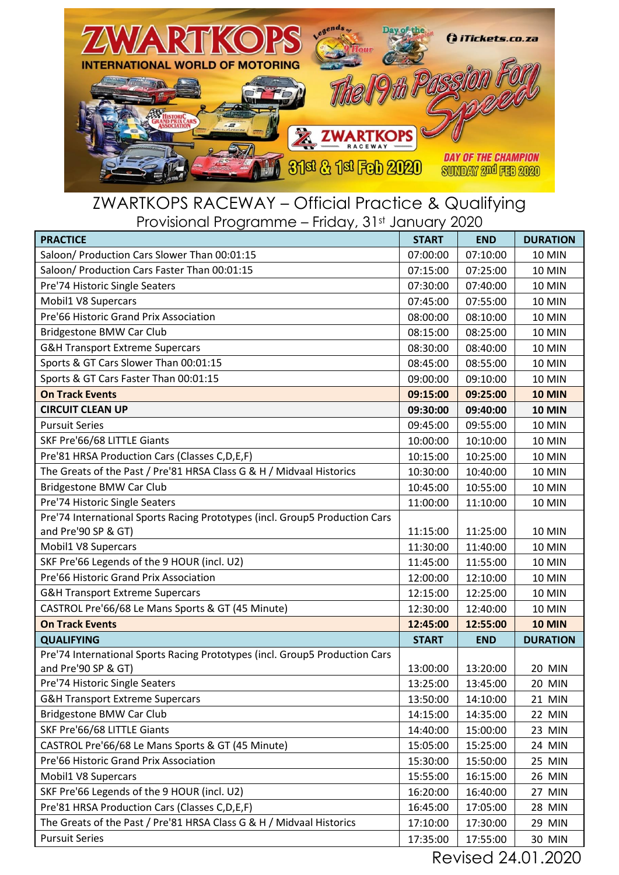

## ZWARTKOPS RACEWAY – Official Practice & Qualifying Provisional Programme – Friday, 31st January 2020

| <b>PRACTICE</b>                                                             | <b>START</b> | <b>END</b> | <b>DURATION</b> |
|-----------------------------------------------------------------------------|--------------|------------|-----------------|
| Saloon/ Production Cars Slower Than 00:01:15                                | 07:00:00     | 07:10:00   | <b>10 MIN</b>   |
| Saloon/ Production Cars Faster Than 00:01:15                                | 07:15:00     | 07:25:00   | <b>10 MIN</b>   |
| Pre'74 Historic Single Seaters                                              | 07:30:00     | 07:40:00   | <b>10 MIN</b>   |
| Mobil1 V8 Supercars                                                         | 07:45:00     | 07:55:00   | <b>10 MIN</b>   |
| Pre'66 Historic Grand Prix Association                                      | 08:00:00     | 08:10:00   | <b>10 MIN</b>   |
| Bridgestone BMW Car Club                                                    | 08:15:00     | 08:25:00   | <b>10 MIN</b>   |
| G&H Transport Extreme Supercars                                             | 08:30:00     | 08:40:00   | <b>10 MIN</b>   |
| Sports & GT Cars Slower Than 00:01:15                                       | 08:45:00     | 08:55:00   | <b>10 MIN</b>   |
| Sports & GT Cars Faster Than 00:01:15                                       | 09:00:00     | 09:10:00   | <b>10 MIN</b>   |
| <b>On Track Events</b>                                                      | 09:15:00     | 09:25:00   | <b>10 MIN</b>   |
| <b>CIRCUIT CLEAN UP</b>                                                     | 09:30:00     | 09:40:00   | <b>10 MIN</b>   |
| <b>Pursuit Series</b>                                                       | 09:45:00     | 09:55:00   | <b>10 MIN</b>   |
| SKF Pre'66/68 LITTLE Giants                                                 | 10:00:00     | 10:10:00   | <b>10 MIN</b>   |
| Pre'81 HRSA Production Cars (Classes C,D,E,F)                               | 10:15:00     | 10:25:00   | <b>10 MIN</b>   |
| The Greats of the Past / Pre'81 HRSA Class G & H / Midvaal Historics        | 10:30:00     | 10:40:00   | <b>10 MIN</b>   |
| <b>Bridgestone BMW Car Club</b>                                             | 10:45:00     | 10:55:00   | <b>10 MIN</b>   |
| Pre'74 Historic Single Seaters                                              | 11:00:00     | 11:10:00   | <b>10 MIN</b>   |
| Pre'74 International Sports Racing Prototypes (incl. Group5 Production Cars |              |            |                 |
| and Pre'90 SP & GT)                                                         | 11:15:00     | 11:25:00   | <b>10 MIN</b>   |
| Mobil1 V8 Supercars                                                         | 11:30:00     | 11:40:00   | <b>10 MIN</b>   |
| SKF Pre'66 Legends of the 9 HOUR (incl. U2)                                 | 11:45:00     | 11:55:00   | <b>10 MIN</b>   |
| Pre'66 Historic Grand Prix Association                                      | 12:00:00     | 12:10:00   | <b>10 MIN</b>   |
| G&H Transport Extreme Supercars                                             | 12:15:00     | 12:25:00   | <b>10 MIN</b>   |
| CASTROL Pre'66/68 Le Mans Sports & GT (45 Minute)                           | 12:30:00     | 12:40:00   | <b>10 MIN</b>   |
| <b>On Track Events</b>                                                      | 12:45:00     | 12:55:00   | <b>10 MIN</b>   |
| <b>QUALIFYING</b>                                                           | <b>START</b> | <b>END</b> | <b>DURATION</b> |
| Pre'74 International Sports Racing Prototypes (incl. Group5 Production Cars |              |            |                 |
| and Pre'90 SP & GT)                                                         | 13:00:00     | 13:20:00   | <b>20 MIN</b>   |
| Pre'74 Historic Single Seaters                                              | 13:25:00     | 13:45:00   | <b>20 MIN</b>   |
| <b>G&amp;H Transport Extreme Supercars</b>                                  | 13:50:00     | 14:10:00   | 21 MIN          |
| <b>Bridgestone BMW Car Club</b>                                             | 14:15:00     | 14:35:00   | 22 MIN          |
| SKF Pre'66/68 LITTLE Giants                                                 | 14:40:00     | 15:00:00   | 23 MIN          |
| CASTROL Pre'66/68 Le Mans Sports & GT (45 Minute)                           | 15:05:00     | 15:25:00   | 24 MIN          |
| Pre'66 Historic Grand Prix Association                                      | 15:30:00     | 15:50:00   | <b>25 MIN</b>   |
| Mobil1 V8 Supercars                                                         | 15:55:00     | 16:15:00   | 26 MIN          |
| SKF Pre'66 Legends of the 9 HOUR (incl. U2)                                 | 16:20:00     | 16:40:00   | 27 MIN          |
| Pre'81 HRSA Production Cars (Classes C,D,E,F)                               | 16:45:00     | 17:05:00   | 28 MIN          |
| The Greats of the Past / Pre'81 HRSA Class G & H / Midvaal Historics        | 17:10:00     | 17:30:00   | 29 MIN          |
| <b>Pursuit Series</b>                                                       | 17:35:00     | 17:55:00   | 30 MIN          |